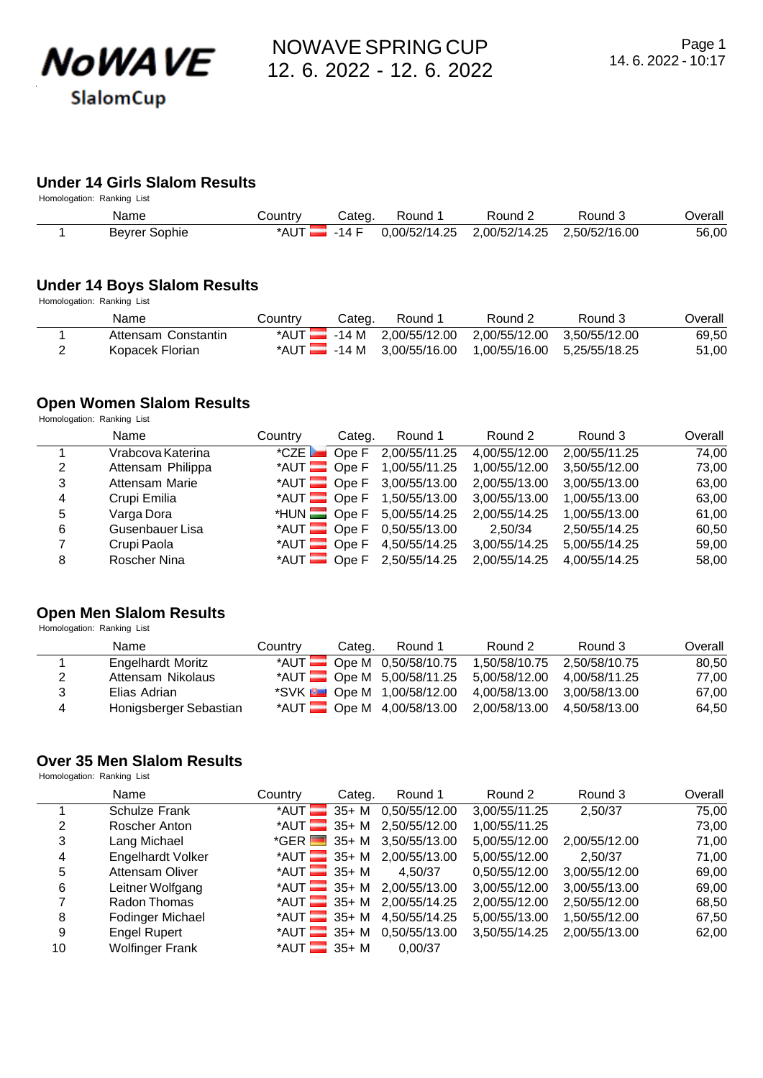

# **Under 14 Girls Slalom Results**

| Homologation: Ranking List |               |                         |       |         |                                           |         |         |
|----------------------------|---------------|-------------------------|-------|---------|-------------------------------------------|---------|---------|
|                            | Name          | Country                 | Cateɑ | Round 1 | Round 2                                   | Round 5 | ⊃verall |
|                            | Beyrer Sophie | $^*$ AUT $\blacksquare$ | -14 F |         | 0.00/52/14.25 2.00/52/14.25 2.50/52/16.00 |         | 56,00   |

#### **Under 14 Boys Slalom Results**

Homologation: Ranking List

| Name                | Country | Categ. | Round 1 | Round 2                                                             | Round 3 | Overall |
|---------------------|---------|--------|---------|---------------------------------------------------------------------|---------|---------|
| Attensam Constantin |         |        |         | *AUT $\frac{1}{2}$ -14 M 2,00/55/12.00 2,00/55/12.00 3,50/55/12.00  |         | 69.50   |
| Kopacek Florian     |         |        |         | *AUT $\blacksquare$ -14 M 3.00/55/16.00 1.00/55/16.00 5.25/55/18.25 |         | 51,00   |

#### **Open Women Slalom Results**

Homologation: Ranking List

|                | Name              | Country                      | Categ. | Round 1                  | Round 2       | Round 3       | Overall |
|----------------|-------------------|------------------------------|--------|--------------------------|---------------|---------------|---------|
|                | Vrabcova Katerina | $^{\star}$ CZE $\Box$ Ope F  |        | 2,00/55/11.25            | 4,00/55/12.00 | 2,00/55/11.25 | 74,00   |
| 2              | Attensam Philippa | $*$ AUT $\Box$ Ope F         |        | 1,00/55/11.25            | 1,00/55/12.00 | 3,50/55/12.00 | 73,00   |
| 3              | Attensam Marie    | $*$ AUT $\blacksquare$ Ope F |        | 3,00/55/13.00            | 2,00/55/13.00 | 3,00/55/13.00 | 63,00   |
| $\overline{4}$ | Crupi Emilia      |                              |        | *AUT Ope F 1,50/55/13.00 | 3,00/55/13.00 | 1,00/55/13.00 | 63,00   |
| 5              | Varga Dora        | $*$ HUN $\blacksquare$ Ope F |        | 5,00/55/14.25            | 2,00/55/14.25 | 1,00/55/13.00 | 61,00   |
| 6              | Gusenbauer Lisa   | $*$ AUT $\Box$ Ope F         |        | 0,50/55/13.00            | 2.50/34       | 2,50/55/14.25 | 60,50   |
|                | Crupi Paola       | $*$ AUT $\blacksquare$ Ope F |        | 4,50/55/14.25            | 3,00/55/14.25 | 5,00/55/14.25 | 59,00   |
| 8              | Roscher Nina      |                              |        | *AUT Ope F 2,50/55/14.25 | 2,00/55/14.25 | 4,00/55/14.25 | 58,00   |

## **Open Men Slalom Results**

Homologation: Ranking List

|   | Name                     | Country | Categ. | Round 1                         | Round 2                                              | Round 3       | Overall |
|---|--------------------------|---------|--------|---------------------------------|------------------------------------------------------|---------------|---------|
|   | <b>Engelhardt Moritz</b> |         |        | *AUT $\Box$ Ope M 0,50/58/10.75 | 1,50/58/10.75                                        | 2,50/58/10.75 | 80.50   |
| 2 | Attensam Nikolaus        |         |        | *AUT $\Box$ Ope M 5,00/58/11.25 | 5.00/58/12.00 4.00/58/11.25                          |               | 77.00   |
| 3 | Elias Adrian             |         |        | *SVK <b>De M</b> 1,00/58/12.00  | 4,00/58/13.00 3,00/58/13.00                          |               | 67.00   |
| 4 | Honigsberger Sebastian   |         |        |                                 | *AUT Ope M 4,00/58/13.00 2,00/58/13.00 4,50/58/13.00 |               | 64.50   |

# **Over 35 Men Slalom Results**

Homologation: Ranking List

|    | Name                   | Country                             | Categ. | Round 1                            | Round 2       | Round 3       | Overall |
|----|------------------------|-------------------------------------|--------|------------------------------------|---------------|---------------|---------|
|    | <b>Schulze Frank</b>   | $*$ AUT $\blacksquare$              |        | 35+ M 0,50/55/12.00                | 3,00/55/11.25 | 2,50/37       | 75,00   |
| 2  | Roscher Anton          |                                     |        | *AUT 35+ M 2,50/55/12.00           | 1,00/55/11.25 |               | 73,00   |
| 3  | Lang Michael           | $*GER$ 35+ M                        |        | 3,50/55/13.00                      | 5,00/55/12.00 | 2,00/55/12.00 | 71,00   |
| 4  | Engelhardt Volker      |                                     |        | *AUT 35+ M 2,00/55/13.00           | 5,00/55/12.00 | 2,50/37       | 71,00   |
| 5  | <b>Attensam Oliver</b> | *AUT $\overline{\phantom{1}}$ 35+ M |        | 4,50/37                            | 0,50/55/12.00 | 3,00/55/12.00 | 69,00   |
| 6  | Leitner Wolfgang       |                                     |        | *AUT $\frac{35+ M}{2,00/55/13.00}$ | 3,00/55/12.00 | 3,00/55/13.00 | 69,00   |
| 7  | Radon Thomas           | *AUT $\frac{1}{2}$ 35+ M            |        | 2,00/55/14.25                      | 2,00/55/12.00 | 2,50/55/12.00 | 68,50   |
| 8  | Fodinger Michael       | $*$ AUT $\equiv$ 35+ M              |        | 4,50/55/14.25                      | 5,00/55/13.00 | 1,50/55/12.00 | 67,50   |
| 9  | <b>Engel Rupert</b>    | $*$ AUT $35+$ M                     |        | 0,50/55/13.00                      | 3,50/55/14.25 | 2,00/55/13.00 | 62,00   |
| 10 | <b>Wolfinger Frank</b> | *AUT $\frac{1}{2}$ 35+ M            |        | 0.00/37                            |               |               |         |